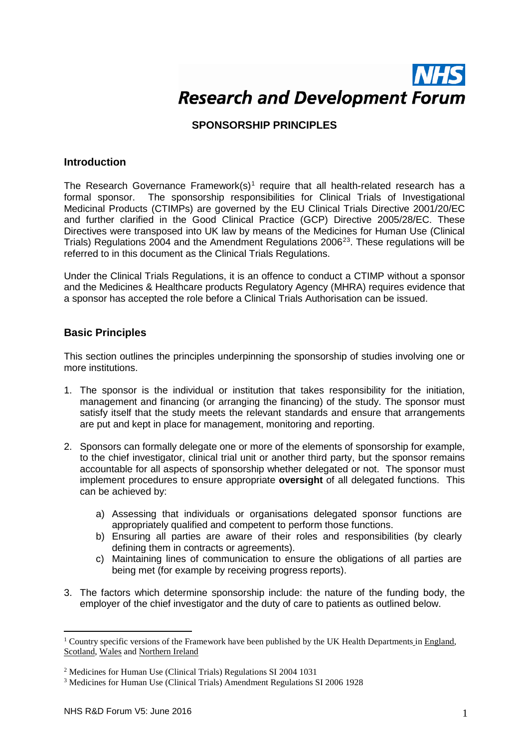# **Research and Development Forum**

## **SPONSORSHIP PRINCIPLES**

## **Introduction**

The Research Governance Framework(s)<sup>[1](#page-0-0)</sup> require that all health-related research has a formal sponsor. The sponsorship responsibilities for Clinical Trials of Investigational Medicinal Products (CTIMPs) are governed by the EU Clinical Trials Directive 2001/20/EC and further clarified in the Good Clinical Practice (GCP) Directive 2005/28/EC. These Directives were transposed into UK law by means of the Medicines for Human Use (Clinical Trials) Regulations [2](#page-0-1)004 and the Amendment Regulations 2006 $^{23}$  $^{23}$  $^{23}$ . These regulations will be referred to in this document as the Clinical Trials Regulations.

Under the Clinical Trials Regulations, it is an offence to conduct a CTIMP without a sponsor and the Medicines & Healthcare products Regulatory Agency (MHRA) requires evidence that a sponsor has accepted the role before a Clinical Trials Authorisation can be issued.

## **Basic Principles**

This section outlines the principles underpinning the sponsorship of studies involving one or more institutions.

- 1. The sponsor is the individual or institution that takes responsibility for the initiation, management and financing (or arranging the financing) of the study. The sponsor must satisfy itself that the study meets the relevant standards and ensure that arrangements are put and kept in place for management, monitoring and reporting.
- 2. Sponsors can formally delegate one or more of the elements of sponsorship for example, to the chief investigator, clinical trial unit or another third party, but the sponsor remains accountable for all aspects of sponsorship whether delegated or not. The sponsor must implement procedures to ensure appropriate **oversight** of all delegated functions. This can be achieved by:
	- a) Assessing that individuals or organisations delegated sponsor functions are appropriately qualified and competent to perform those functions.
	- b) Ensuring all parties are aware of their roles and responsibilities (by clearly defining them in contracts or agreements).
	- c) Maintaining lines of communication to ensure the obligations of all parties are being met (for example by receiving progress reports).
- 3. The factors which determine sponsorship include: the nature of the funding body, the employer of the chief investigator and the duty of care to patients as outlined below.

<u>.</u>

<span id="page-0-0"></span><sup>&</sup>lt;sup>1</sup> Country specific versions of the Framework have been published by the UK Health Departments in England, [Scotland,](http://www.scotland.gov.uk/Topics/Research/by-topic/health-community-care/chief-scientist-office/6864/6933) [Wales](http://www.wales.nhs.uk/sites3/Documents/952/Research%20Governance%20Framework%202009%20%28English%291.pdf) and [Northern Ireland](http://www.dh.gov.uk/prod_consum_dh/groups/dh_digitalassets/@dh/@en/documents/digitalasset/dh_4066768.pdf)

<span id="page-0-1"></span><sup>2</sup> Medicines for Human Use (Clinical Trials) Regulations SI 2004 1031

<span id="page-0-2"></span><sup>3</sup> Medicines for Human Use (Clinical Trials) Amendment Regulations SI 2006 1928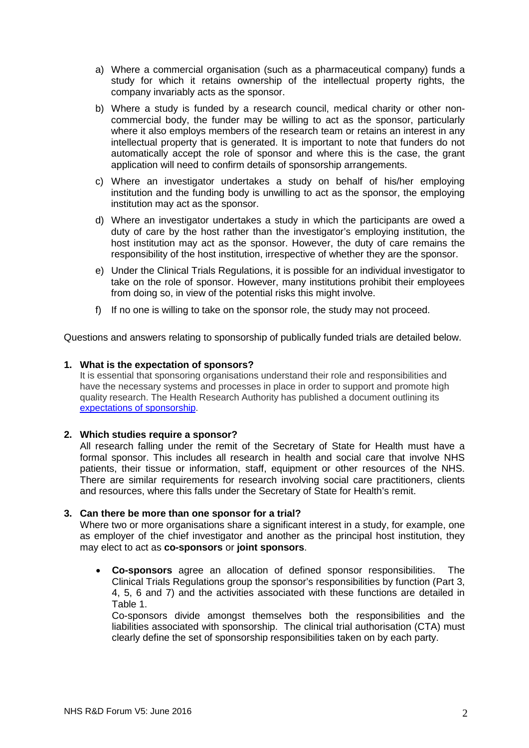- a) Where a commercial organisation (such as a pharmaceutical company) funds a study for which it retains ownership of the intellectual property rights, the company invariably acts as the sponsor.
- b) Where a study is funded by a research council, medical charity or other noncommercial body, the funder may be willing to act as the sponsor, particularly where it also employs members of the research team or retains an interest in any intellectual property that is generated. It is important to note that funders do not automatically accept the role of sponsor and where this is the case, the grant application will need to confirm details of sponsorship arrangements.
- c) Where an investigator undertakes a study on behalf of his/her employing institution and the funding body is unwilling to act as the sponsor, the employing institution may act as the sponsor.
- d) Where an investigator undertakes a study in which the participants are owed a duty of care by the host rather than the investigator's employing institution, the host institution may act as the sponsor. However, the duty of care remains the responsibility of the host institution, irrespective of whether they are the sponsor.
- e) Under the Clinical Trials Regulations, it is possible for an individual investigator to take on the role of sponsor. However, many institutions prohibit their employees from doing so, in view of the potential risks this might involve.
- f) If no one is willing to take on the sponsor role, the study may not proceed.

Questions and answers relating to sponsorship of publically funded trials are detailed below.

#### **1. What is the expectation of sponsors?**

It is essential that sponsoring organisations understand their role and responsibilities and have the necessary systems and processes in place in order to support and promote high quality research. The Health Research Authority has published a document outlining its [expectations of sponsorship.](http://www.hra.nhs.uk/documents/2014/01/hra-expectations-sponsorship-v1-4-final-1-0.docx)

#### **2. Which studies require a sponsor?**

All research falling under the remit of the Secretary of State for Health must have a formal sponsor. This includes all research in health and social care that involve NHS patients, their tissue or information, staff, equipment or other resources of the NHS. There are similar requirements for research involving social care practitioners, clients and resources, where this falls under the Secretary of State for Health's remit.

#### **3. Can there be more than one sponsor for a trial?**

Where two or more organisations share a significant interest in a study, for example, one as employer of the chief investigator and another as the principal host institution, they may elect to act as **co-sponsors** or **joint sponsors**.

• **Co-sponsors** agree an allocation of defined sponsor responsibilities. The Clinical Trials Regulations group the sponsor's responsibilities by function (Part 3, 4, 5, 6 and 7) and the activities associated with these functions are detailed in Table 1.

Co-sponsors divide amongst themselves both the responsibilities and the liabilities associated with sponsorship. The clinical trial authorisation (CTA) must clearly define the set of sponsorship responsibilities taken on by each party.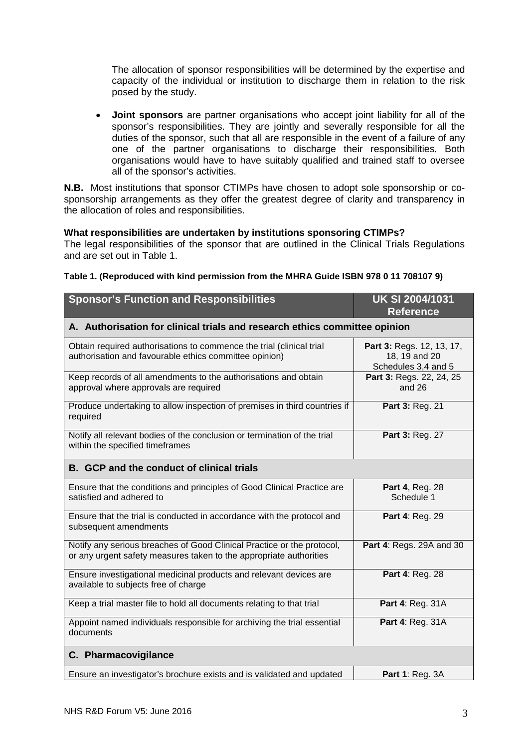The allocation of sponsor responsibilities will be determined by the expertise and capacity of the individual or institution to discharge them in relation to the risk posed by the study.

• **Joint sponsors** are partner organisations who accept joint liability for all of the sponsor's responsibilities. They are jointly and severally responsible for all the duties of the sponsor, such that all are responsible in the event of a failure of any one of the partner organisations to discharge their responsibilities*.* Both organisations would have to have suitably qualified and trained staff to oversee all of the sponsor's activities.

**N.B.** Most institutions that sponsor CTIMPs have chosen to adopt sole sponsorship or cosponsorship arrangements as they offer the greatest degree of clarity and transparency in the allocation of roles and responsibilities.

## **What responsibilities are undertaken by institutions sponsoring CTIMPs?**

The legal responsibilities of the sponsor that are outlined in the Clinical Trials Regulations and are set out in Table 1.

| <b>Sponsor's Function and Responsibilities</b>                                                                                               | <b>UK SI 2004/1031</b><br><b>Reference</b>                        |
|----------------------------------------------------------------------------------------------------------------------------------------------|-------------------------------------------------------------------|
| A. Authorisation for clinical trials and research ethics committee opinion                                                                   |                                                                   |
| Obtain required authorisations to commence the trial (clinical trial<br>authorisation and favourable ethics committee opinion)               | Part 3: Regs. 12, 13, 17,<br>18, 19 and 20<br>Schedules 3,4 and 5 |
| Keep records of all amendments to the authorisations and obtain<br>approval where approvals are required                                     | Part 3: Regs. 22, 24, 25<br>and $26$                              |
| Produce undertaking to allow inspection of premises in third countries if<br>required                                                        | Part 3: Reg. 21                                                   |
| Notify all relevant bodies of the conclusion or termination of the trial<br>within the specified timeframes                                  | Part 3: Reg. 27                                                   |
| <b>B.</b> GCP and the conduct of clinical trials                                                                                             |                                                                   |
| Ensure that the conditions and principles of Good Clinical Practice are<br>satisfied and adhered to                                          | Part 4, Reg. 28<br>Schedule 1                                     |
| Ensure that the trial is conducted in accordance with the protocol and<br>subsequent amendments                                              | Part 4: Reg. 29                                                   |
| Notify any serious breaches of Good Clinical Practice or the protocol,<br>or any urgent safety measures taken to the appropriate authorities | <b>Part 4: Regs. 29A and 30</b>                                   |
| Ensure investigational medicinal products and relevant devices are<br>available to subjects free of charge                                   | Part 4: Reg. 28                                                   |
| Keep a trial master file to hold all documents relating to that trial                                                                        | Part 4: Reg. 31A                                                  |
| Appoint named individuals responsible for archiving the trial essential<br>documents                                                         | Part 4: Reg. 31A                                                  |
| C. Pharmacovigilance                                                                                                                         |                                                                   |
| Ensure an investigator's brochure exists and is validated and updated                                                                        | <b>Part 1: Reg. 3A</b>                                            |

#### **Table 1. (Reproduced with kind permission from the MHRA Guide ISBN 978 0 11 708107 9)**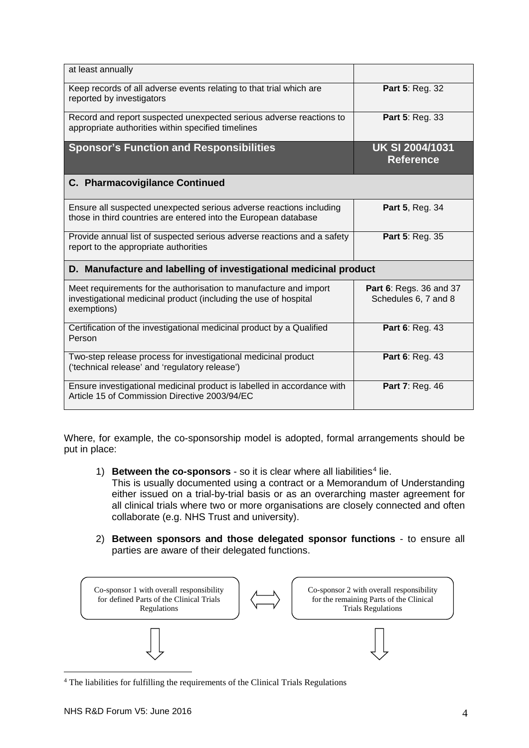| at least annually                                                                                                                                    |                                                 |  |
|------------------------------------------------------------------------------------------------------------------------------------------------------|-------------------------------------------------|--|
| Keep records of all adverse events relating to that trial which are<br>reported by investigators                                                     | Part 5: Reg. 32                                 |  |
| Record and report suspected unexpected serious adverse reactions to<br>appropriate authorities within specified timelines                            | Part 5: Reg. 33                                 |  |
| <b>Sponsor's Function and Responsibilities</b>                                                                                                       | <b>UK SI 2004/1031</b><br><b>Reference</b>      |  |
| C. Pharmacovigilance Continued                                                                                                                       |                                                 |  |
| Ensure all suspected unexpected serious adverse reactions including<br>those in third countries are entered into the European database               | <b>Part 5, Reg. 34</b>                          |  |
| Provide annual list of suspected serious adverse reactions and a safety<br>report to the appropriate authorities                                     | Part 5: Reg. 35                                 |  |
| D. Manufacture and labelling of investigational medicinal product                                                                                    |                                                 |  |
| Meet requirements for the authorisation to manufacture and import<br>investigational medicinal product (including the use of hospital<br>exemptions) | Part 6: Regs. 36 and 37<br>Schedules 6, 7 and 8 |  |
| Certification of the investigational medicinal product by a Qualified<br>Person                                                                      | Part 6: Reg. 43                                 |  |
| Two-step release process for investigational medicinal product<br>('technical release' and 'regulatory release')                                     | Part 6: Reg. 43                                 |  |
| Ensure investigational medicinal product is labelled in accordance with<br>Article 15 of Commission Directive 2003/94/EC                             | Part 7: Reg. 46                                 |  |

Where, for example, the co-sponsorship model is adopted, formal arrangements should be put in place:

1) **Between the co-sponsors** - so it is clear where all liabilities<sup>[4](#page-3-0)</sup> lie.

This is usually documented using a contract or a Memorandum of Understanding either issued on a trial-by-trial basis or as an overarching master agreement for all clinical trials where two or more organisations are closely connected and often collaborate (e.g. NHS Trust and university).

2) **Between sponsors and those delegated sponsor functions** - to ensure all parties are aware of their delegated functions.



<span id="page-3-0"></span><sup>4</sup> The liabilities for fulfilling the requirements of the Clinical Trials Regulations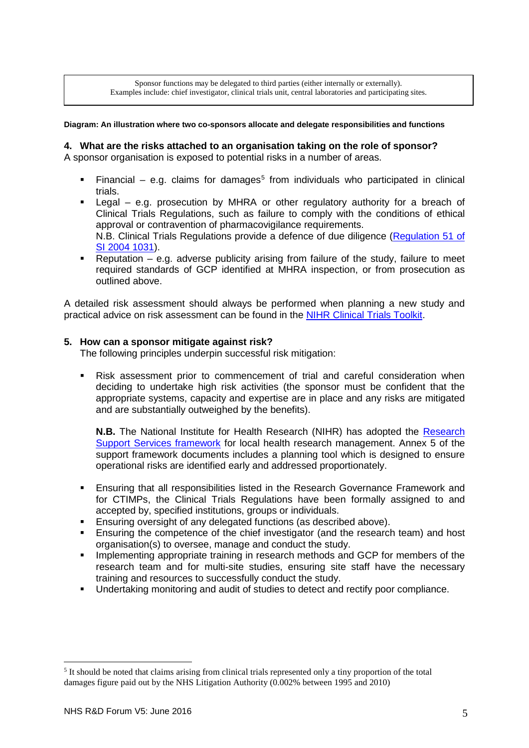Sponsor functions may be delegated to third parties (either internally or externally). Examples include: chief investigator, clinical trials unit, central laboratories and participating sites.

#### **Diagram: An illustration where two co-sponsors allocate and delegate responsibilities and functions**

#### **4. What are the risks attached to an organisation taking on the role of sponsor?**

A sponsor organisation is exposed to potential risks in a number of areas.

- Financial e.g. claims for damages<sup>[5](#page-4-0)</sup> from individuals who participated in clinical trials.
- Legal e.g. prosecution by MHRA or other regulatory authority for a breach of Clinical Trials Regulations, such as failure to comply with the conditions of ethical approval or contravention of pharmacovigilance requirements. N.B. Clinical Trials Regulations provide a defence of due diligence [\(Regulation 51 of](http://www.legislation.gov.uk/uksi/2004/1031/regulation/51/made)  [SI 2004 1031\)](http://www.legislation.gov.uk/uksi/2004/1031/regulation/51/made).
- Reputation e.g. adverse publicity arising from failure of the study, failure to meet required standards of GCP identified at MHRA inspection, or from prosecution as outlined above.

A detailed risk assessment should always be performed when planning a new study and practical advice on risk assessment can be found in the NIHR [Clinical Trials Toolkit.](http://www.ct-toolkit.ac.uk/routemap/risk-assessment)

#### **5. How can a sponsor mitigate against risk?**

The following principles underpin successful risk mitigation:

 Risk assessment prior to commencement of trial and careful consideration when deciding to undertake high risk activities (the sponsor must be confident that the appropriate systems, capacity and expertise are in place and any risks are mitigated and are substantially outweighed by the benefits).

**N.B.** The National Institute for Health Research (NIHR) has adopted the [Research](http://www.nihr.ac.uk/policy-and-standards/framework-for-research-support-services.htm)  [Support Services framework](http://www.nihr.ac.uk/policy-and-standards/framework-for-research-support-services.htm) for local health research management. Annex 5 of the support framework documents includes a planning tool which is designed to ensure operational risks are identified early and addressed proportionately.

- Ensuring that all responsibilities listed in the Research Governance Framework and for CTIMPs, the Clinical Trials Regulations have been formally assigned to and accepted by, specified institutions, groups or individuals.
- **Ensuring oversight of any delegated functions (as described above).**<br>**Ensuring the competence of the chief investigator (and the researchief)**
- Ensuring the competence of the chief investigator (and the research team) and host organisation(s) to oversee, manage and conduct the study.
- **IMPLEMENTER IMPLEMENT IMPLEM** THE Implementing appropriate training in research methods and GCP for members of the research team and for multi-site studies, ensuring site staff have the necessary training and resources to successfully conduct the study.
- Undertaking monitoring and audit of studies to detect and rectify poor compliance.

-

<span id="page-4-0"></span><sup>5</sup> It should be noted that claims arising from clinical trials represented only a tiny proportion of the total damages figure paid out by the NHS Litigation Authority (0.002% between 1995 and 2010)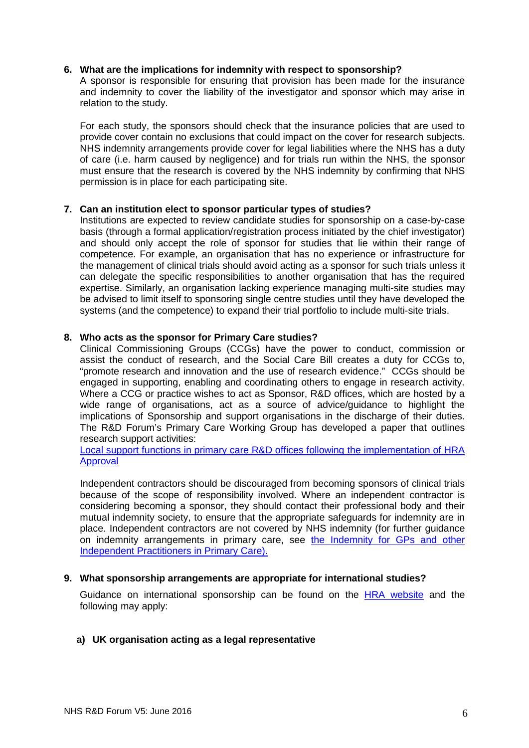#### **6. What are the implications for indemnity with respect to sponsorship?**

A sponsor is responsible for ensuring that provision has been made for the insurance and indemnity to cover the liability of the investigator and sponsor which may arise in relation to the study.

For each study, the sponsors should check that the insurance policies that are used to provide cover contain no exclusions that could impact on the cover for research subjects. NHS indemnity arrangements provide cover for legal liabilities where the NHS has a duty of care (i.e. harm caused by negligence) and for trials run within the NHS, the sponsor must ensure that the research is covered by the NHS indemnity by confirming that NHS permission is in place for each participating site.

#### **7. Can an institution elect to sponsor particular types of studies?**

Institutions are expected to review candidate studies for sponsorship on a case-by-case basis (through a formal application/registration process initiated by the chief investigator) and should only accept the role of sponsor for studies that lie within their range of competence. For example, an organisation that has no experience or infrastructure for the management of clinical trials should avoid acting as a sponsor for such trials unless it can delegate the specific responsibilities to another organisation that has the required expertise. Similarly, an organisation lacking experience managing multi-site studies may be advised to limit itself to sponsoring single centre studies until they have developed the systems (and the competence) to expand their trial portfolio to include multi-site trials.

#### **8. Who acts as the sponsor for Primary Care studies?**

Clinical Commissioning Groups (CCGs) have the power to conduct, commission or assist the conduct of research, and the Social Care Bill creates a duty for CCGs to, "promote research and innovation and the use of research evidence." CCGs should be engaged in supporting, enabling and coordinating others to engage in research activity. Where a CCG or practice wishes to act as Sponsor, R&D offices, which are hosted by a wide range of organisations, act as a source of advice/guidance to highlight the implications of Sponsorship and support organisations in the discharge of their duties. The R&D Forum's Primary Care Working Group has developed a paper that outlines research support activities:

[Local support functions in primary care R&D offices following the implementation of HRA](http://www.rdforum.nhs.uk/content/wp-content/uploads/2015/03/PCSupportFunctions.pdf)  [Approval](http://www.rdforum.nhs.uk/content/wp-content/uploads/2015/03/PCSupportFunctions.pdf)

Independent contractors should be discouraged from becoming sponsors of clinical trials because of the scope of responsibility involved. Where an independent contractor is considering becoming a sponsor, they should contact their professional body and their mutual indemnity society, to ensure that the appropriate safeguards for indemnity are in place. Independent contractors are not covered by NHS indemnity (for further guidance on indemnity arrangements in primary care, see the Indemnity for GPs and other Independent Practitioners in Primary Care).

#### **9. What sponsorship arrangements are appropriate for international studies?**

Guidance on international sponsorship can be found on the [HRA website](http://www.hra.nhs.uk/resources/research-beyond-uk/international-research/) and the following may apply:

## **a) UK organisation acting as a legal representative**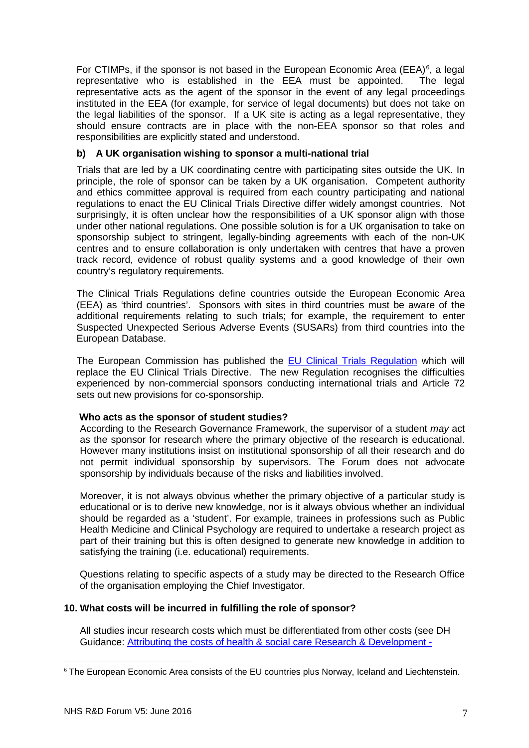For CTIMPs, if the sponsor is not based in the European Economic Area (EEA) $<sup>6</sup>$  $<sup>6</sup>$  $<sup>6</sup>$ , a legal</sup> representative who is established in the EEA must be appointed. The legal representative acts as the agent of the sponsor in the event of any legal proceedings instituted in the EEA (for example, for service of legal documents) but does not take on the legal liabilities of the sponsor. If a UK site is acting as a legal representative, they should ensure contracts are in place with the non-EEA sponsor so that roles and responsibilities are explicitly stated and understood.

## **b) A UK organisation wishing to sponsor a multi-national trial**

Trials that are led by a UK coordinating centre with participating sites outside the UK. In principle, the role of sponsor can be taken by a UK organisation. Competent authority and ethics committee approval is required from each country participating and national regulations to enact the EU Clinical Trials Directive differ widely amongst countries. Not surprisingly, it is often unclear how the responsibilities of a UK sponsor align with those under other national regulations. One possible solution is for a UK organisation to take on sponsorship subject to stringent, legally-binding agreements with each of the non-UK centres and to ensure collaboration is only undertaken with centres that have a proven track record, evidence of robust quality systems and a good knowledge of their own country's regulatory requirements.

The Clinical Trials Regulations define countries outside the European Economic Area (EEA) as 'third countries'. Sponsors with sites in third countries must be aware of the additional requirements relating to such trials; for example, the requirement to enter Suspected Unexpected Serious Adverse Events (SUSARs) from third countries into the European Database.

The European Commission has published the [EU Clinical Trials Regulation](http://eur-lex.europa.eu/legal-content/EN/TXT/HTML/?uri=CELEX:32014R0536&from=EN) which will replace the EU Clinical Trials Directive. The new Regulation recognises the difficulties experienced by non-commercial sponsors conducting international trials and Article 72 sets out new provisions for co-sponsorship.

## **Who acts as the sponsor of student studies?**

According to the Research Governance Framework, the supervisor of a student *may* act as the sponsor for research where the primary objective of the research is educational. However many institutions insist on institutional sponsorship of all their research and do not permit individual sponsorship by supervisors. The Forum does not advocate sponsorship by individuals because of the risks and liabilities involved.

Moreover, it is not always obvious whether the primary objective of a particular study is educational or is to derive new knowledge, nor is it always obvious whether an individual should be regarded as a 'student'. For example, trainees in professions such as Public Health Medicine and Clinical Psychology are required to undertake a research project as part of their training but this is often designed to generate new knowledge in addition to satisfying the training (i.e. educational) requirements.

Questions relating to specific aspects of a study may be directed to the Research Office of the organisation employing the Chief Investigator.

## **10. What costs will be incurred in fulfilling the role of sponsor?**

All studies incur research costs which must be differentiated from other costs (see DH Guidance: [Attributing the costs of health & social care Research & Development -](http://www.dh.gov.uk/en/Publicationsandstatistics/Publications/PublicationsPolicyAndGuidance/DH_133882)

<span id="page-6-0"></span><sup>6</sup> The European Economic Area consists of the EU countries plus Norway, Iceland and Liechtenstein. -